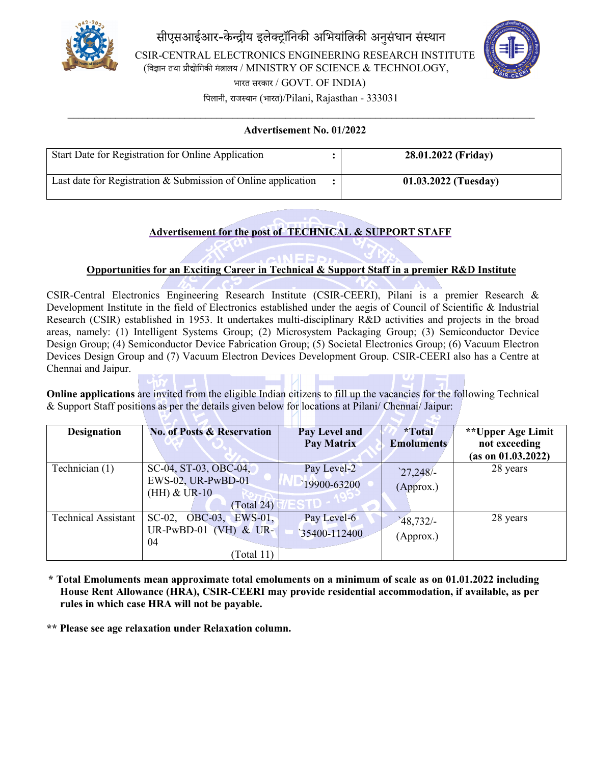



 $\mathcal{L}_\mathcal{L} = \{ \mathcal{L}_\mathcal{L} = \{ \mathcal{L}_\mathcal{L} = \{ \mathcal{L}_\mathcal{L} = \{ \mathcal{L}_\mathcal{L} = \{ \mathcal{L}_\mathcal{L} = \{ \mathcal{L}_\mathcal{L} = \{ \mathcal{L}_\mathcal{L} = \{ \mathcal{L}_\mathcal{L} = \{ \mathcal{L}_\mathcal{L} = \{ \mathcal{L}_\mathcal{L} = \{ \mathcal{L}_\mathcal{L} = \{ \mathcal{L}_\mathcal{L} = \{ \mathcal{L}_\mathcal{L} = \{ \mathcal{L}_\mathcal{$ **Advertisement No. 01/2022**

| Start Date for Registration for Online Application            | 28.01.2022 (Friday)    |
|---------------------------------------------------------------|------------------------|
| Last date for Registration & Submission of Online application | $01.03.2022$ (Tuesday) |

# **Advertisement for the post of TECHNICAL & SUPPORT STAFF**

## **Opportunities for an Exciting Career in Technical & Support Staff in a premier R&D Institute**

CSIR-Central Electronics Engineering Research Institute (CSIR-CEERI), Pilani is a premier Research & Development Institute in the field of Electronics established under the aegis of Council of Scientific & Industrial Research (CSIR) established in 1953. It undertakes multi-disciplinary R&D activities and projects in the broad areas, namely: [\(1\) Intelligent Systems Group;](https://www.ceeri.res.in/intelligent-systems-group/) (2) [Microsystem Packaging Group;](https://www.ceeri.res.in/microsystem-packaging-group/) (3) [Semiconductor Device](https://www.ceeri.res.in/semiconductor-device-design-group/)  [Design Group;](https://www.ceeri.res.in/semiconductor-device-design-group/) (4) [Semiconductor Device Fabrication Group;](https://www.ceeri.res.in/semiconductor-device-fabrication-group/) (5) [Societal Electronics Group;](https://www.ceeri.res.in/societal-electronics-group/) (6) [Vacuum Electron](https://www.ceeri.res.in/vacuum-electron-devices-design-group/)  [Devices Design Group](https://www.ceeri.res.in/vacuum-electron-devices-design-group/) and (7) [Vacuum Electron Devices Development Group.](https://www.ceeri.res.in/vacuum-electron-devices-development-group/) CSIR-CEERI also has a Centre at Chennai and Jaipur.

**Online applications** are invited from the eligible Indian citizens to fill up the vacancies for the following Technical & Support Staff positions as per the details given below for locations at Pilani/ Chennai/ Jaipur:

| <b>Designation</b>         | <b>No. of Posts &amp; Reservation</b>                                          | Pay Level and<br>Pay Matrix | *Total<br><b>Emoluments</b> | **Upper Age Limit<br>not exceeding<br>(as on 01.03.2022) |
|----------------------------|--------------------------------------------------------------------------------|-----------------------------|-----------------------------|----------------------------------------------------------|
| Technician (1)             | SC-04, ST-03, OBC-04,<br>EWS-02, UR-PwBD-01<br>$(HH)$ & UR-10<br>(Total 24)    | Pay Level-2<br>19900-63200  | 27,248/<br>(Approx.)        | 28 years                                                 |
| <b>Technical Assistant</b> | $SC-02$ , $OBC-03$ , $EWS-01$ ,<br>UR-PwBD-01 $(VH)$ & UR-<br>04<br>(Total 11) | Pay Level-6<br>35400-112400 | 48,732/<br>(Approx.)        | 28 years                                                 |

**\* Total Emoluments mean approximate total emoluments on a minimum of scale as on 01.01.2022 including House Rent Allowance (HRA), CSIR-CEERI may provide residential accommodation, if available, as per rules in which case HRA will not be payable.**

**\*\* Please see age relaxation under Relaxation column.**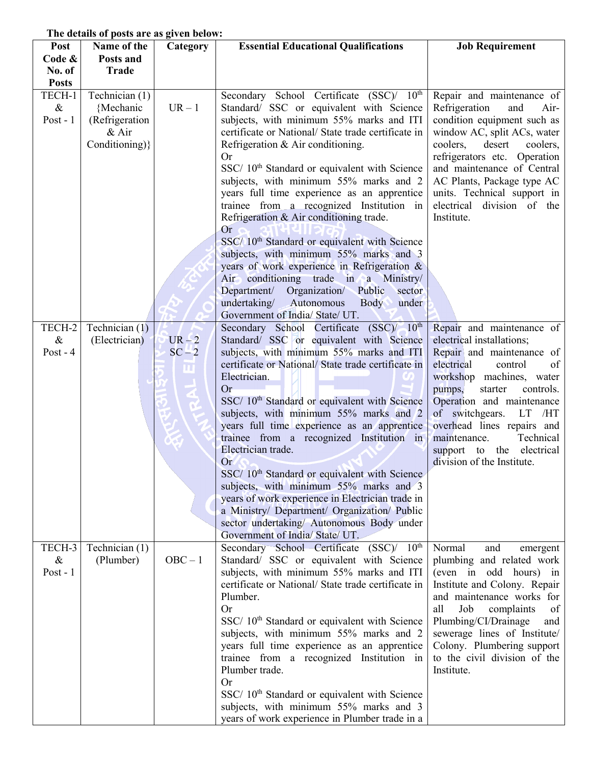## **The details of posts are as given below:**

| Post                                         | Name of the                                                              | Category         | <b>Essential Educational Qualifications</b>                                                                                                                                                                                                                                                                                                                                                                                                                                                                                                                                                                                                                                                                                                               | <b>Job Requirement</b>                                                                                                                                                                                                                                                                                                                                                 |
|----------------------------------------------|--------------------------------------------------------------------------|------------------|-----------------------------------------------------------------------------------------------------------------------------------------------------------------------------------------------------------------------------------------------------------------------------------------------------------------------------------------------------------------------------------------------------------------------------------------------------------------------------------------------------------------------------------------------------------------------------------------------------------------------------------------------------------------------------------------------------------------------------------------------------------|------------------------------------------------------------------------------------------------------------------------------------------------------------------------------------------------------------------------------------------------------------------------------------------------------------------------------------------------------------------------|
| Code &                                       | Posts and                                                                |                  |                                                                                                                                                                                                                                                                                                                                                                                                                                                                                                                                                                                                                                                                                                                                                           |                                                                                                                                                                                                                                                                                                                                                                        |
| No. of                                       | <b>Trade</b>                                                             |                  |                                                                                                                                                                                                                                                                                                                                                                                                                                                                                                                                                                                                                                                                                                                                                           |                                                                                                                                                                                                                                                                                                                                                                        |
| <b>Posts</b><br>TECH-1<br>$\&$<br>Post - $1$ | Technician (1)<br>{Mechanic<br>(Refrigeration<br>& Air<br>Conditioning)} | $UR - 1$         | Secondary School Certificate (SSC)/ 10 <sup>th</sup><br>Standard/ SSC or equivalent with Science<br>subjects, with minimum 55% marks and ITI<br>certificate or National/ State trade certificate in<br>Refrigeration & Air conditioning.<br>Or.<br>SSC/ 10 <sup>th</sup> Standard or equivalent with Science<br>subjects, with minimum 55% marks and 2<br>years full time experience as an apprentice<br>trainee from a recognized Institution in<br>Refrigeration & Air conditioning trade.<br>Or<br>SSC/ 10 <sup>th</sup> Standard or equivalent with Science<br>subjects, with minimum 55% marks and 3<br>years of work experience in Refrigeration &<br>Air conditioning trade in a Ministry/                                                         | Repair and maintenance of<br>Refrigeration<br>and<br>Air-<br>condition equipment such as<br>window AC, split ACs, water<br>coolers,<br>desert<br>coolers,<br>refrigerators etc. Operation<br>and maintenance of Central<br>AC Plants, Package type AC<br>units. Technical support in<br>electrical division of the<br>Institute.                                       |
|                                              |                                                                          |                  | Organization/ Public<br>Department/<br>sector<br>undertaking/ Autonomous<br><b>Body</b><br>under                                                                                                                                                                                                                                                                                                                                                                                                                                                                                                                                                                                                                                                          |                                                                                                                                                                                                                                                                                                                                                                        |
|                                              |                                                                          |                  | Government of India/State/UT.                                                                                                                                                                                                                                                                                                                                                                                                                                                                                                                                                                                                                                                                                                                             |                                                                                                                                                                                                                                                                                                                                                                        |
| TECH-2<br>$\&$<br>Post - $4$                 | Technician $(1)$<br>(Electrician)                                        | $UR-2$<br>$SC-2$ | Secondary School Certificate (SSC)/ 10 <sup>th</sup><br>Standard/ SSC or equivalent with Science<br>subjects, with minimum 55% marks and ITI<br>certificate or National/ State trade certificate in<br>Electrician.<br><b>Or</b><br>SSC/ 10 <sup>th</sup> Standard or equivalent with Science<br>subjects, with minimum 55% marks and 2<br>years full time experience as an apprentice<br>trainee from a recognized Institution in<br>Electrician trade.<br>Or<br>SSC/ 10 <sup>th</sup> Standard or equivalent with Science<br>subjects, with minimum 55% marks and 3<br>years of work experience in Electrician trade in<br>a Ministry/ Department/ Organization/ Public<br>sector undertaking/ Autonomous Body under<br>Government of India/ State/ UT. | Repair and maintenance of<br>electrical installations;<br>Repair and maintenance of<br>electrical<br>of<br>control<br>workshop machines, water<br>starter<br>controls.<br>pumps,<br>Operation and maintenance<br>of switchgears.<br>LT<br>/HT<br>overhead lines repairs and<br>maintenance.<br>Technical<br>electrical<br>support to the<br>division of the Institute. |
| TECH-3<br>$\&$<br>Post - $1$                 | Technician (1)<br>(Plumber)                                              | $OBC - 1$        | Secondary School Certificate (SSC)/ 10 <sup>th</sup><br>Standard/ SSC or equivalent with Science<br>subjects, with minimum 55% marks and ITI<br>certificate or National/ State trade certificate in<br>Plumber.<br><b>Or</b><br>SSC/ 10 <sup>th</sup> Standard or equivalent with Science<br>subjects, with minimum 55% marks and 2<br>years full time experience as an apprentice<br>trainee from a recognized Institution in<br>Plumber trade.<br>Or<br>SSC/ 10 <sup>th</sup> Standard or equivalent with Science<br>subjects, with minimum 55% marks and 3<br>years of work experience in Plumber trade in a                                                                                                                                           | Normal<br>and<br>emergent<br>plumbing and related work<br>(even in odd hours) in<br>Institute and Colony. Repair<br>and maintenance works for<br>Job<br>all<br>complaints<br>of<br>Plumbing/CI/Drainage<br>and<br>sewerage lines of Institute<br>Colony. Plumbering support<br>to the civil division of the<br>Institute.                                              |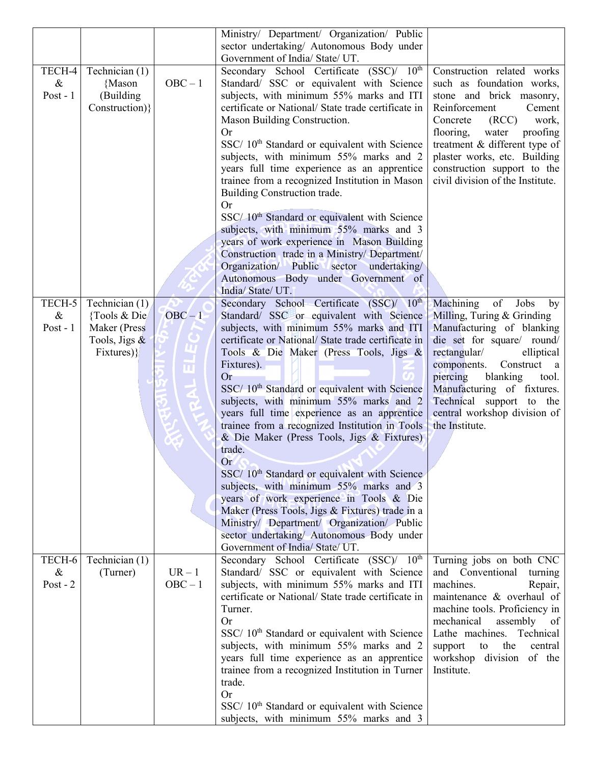|            |                 |           | Ministry/ Department/ Organization/ Public                |                                  |
|------------|-----------------|-----------|-----------------------------------------------------------|----------------------------------|
|            |                 |           | sector undertaking/ Autonomous Body under                 |                                  |
|            |                 |           | Government of India/ State/ UT.                           |                                  |
| TECH-4     | Technician (1)  |           | Secondary School Certificate (SSC)/ 10 <sup>th</sup>      | Construction related works       |
| $\&$       | {Mason          | $OBC - 1$ | Standard/ SSC or equivalent with Science                  | such as foundation works,        |
| Post - $1$ | (Building       |           | subjects, with minimum 55% marks and ITI                  | stone and brick masonry,         |
|            |                 |           |                                                           |                                  |
|            | Construction)}  |           | certificate or National/ State trade certificate in       | Reinforcement<br>Cement          |
|            |                 |           | Mason Building Construction.                              | Concrete<br>(RCC)<br>work,       |
|            |                 |           | Or.                                                       | flooring,<br>proofing<br>water   |
|            |                 |           | SSC/ 10 <sup>th</sup> Standard or equivalent with Science | treatment & different type of    |
|            |                 |           | subjects, with minimum 55% marks and 2                    | plaster works, etc. Building     |
|            |                 |           | years full time experience as an apprentice               | construction support to the      |
|            |                 |           | trainee from a recognized Institution in Mason            | civil division of the Institute. |
|            |                 |           | Building Construction trade.                              |                                  |
|            |                 |           | <b>Or</b>                                                 |                                  |
|            |                 |           | SSC/10 <sup>th</sup> Standard or equivalent with Science  |                                  |
|            |                 |           | subjects, with minimum 55% marks and 3                    |                                  |
|            |                 |           | years of work experience in Mason Building                |                                  |
|            |                 |           | Construction trade in a Ministry/ Department/             |                                  |
|            |                 |           | Organization/ Public sector undertaking/                  |                                  |
|            |                 |           | Autonomous Body under Government of                       |                                  |
|            |                 |           | India/State/UT.                                           |                                  |
| TECH-5     | Technician (1)  |           | Secondary School Certificate (SSC)/ 10th                  | Machining<br>of<br>Jobs<br>by    |
| $\&$       | {Tools & Die    | $OBC-1$   | Standard/ SSC or equivalent with Science                  | Milling, Turing & Grinding       |
| Post - $1$ | Maker (Press    |           | subjects, with minimum 55% marks and ITI                  | Manufacturing of blanking        |
|            | Tools, Jigs $&$ |           | certificate or National/ State trade certificate in       | die set for square/ round/       |
|            |                 |           |                                                           |                                  |
|            | Fixtures) }     |           | Tools & Die Maker (Press Tools, Jigs &                    | rectangular/<br>elliptical       |
|            |                 | Ш         | Fixtures).                                                | components.<br>Construct<br>a    |
|            |                 |           | Or                                                        | piercing<br>blanking<br>tool.    |
|            |                 |           | SSC/ 10 <sup>th</sup> Standard or equivalent with Science | Manufacturing of fixtures.       |
|            |                 |           | subjects, with minimum 55% marks and 2                    | Technical support to the         |
|            |                 |           | years full time experience as an apprentice               | central workshop division of     |
|            |                 |           | trainee from a recognized Institution in Tools            | the Institute.                   |
|            |                 |           | & Die Maker (Press Tools, Jigs & Fixtures)                |                                  |
|            |                 |           | trade.                                                    |                                  |
|            |                 |           | <b>Or</b>                                                 |                                  |
|            |                 |           | SSC/ 10 <sup>th</sup> Standard or equivalent with Science |                                  |
|            |                 |           | subjects, with minimum 55% marks and 3                    |                                  |
|            |                 |           | years of work experience in Tools & Die                   |                                  |
|            |                 |           | Maker (Press Tools, Jigs & Fixtures) trade in a           |                                  |
|            |                 |           | Ministry/ Department/ Organization/ Public                |                                  |
|            |                 |           | sector undertaking/ Autonomous Body under                 |                                  |
|            |                 |           | Government of India/State/UT.                             |                                  |
| TECH-6     | Technician (1)  |           | Secondary School Certificate (SSC)/ 10 <sup>th</sup>      | Turning jobs on both CNC         |
| $\&$       | (Turner)        | $UR-1$    | Standard/ SSC or equivalent with Science                  | and Conventional<br>turning      |
| Post - $2$ |                 | $OBC - 1$ | subjects, with minimum 55% marks and ITI                  | machines.<br>Repair,             |
|            |                 |           | certificate or National/ State trade certificate in       | maintenance & overhaul of        |
|            |                 |           | Turner.                                                   | machine tools. Proficiency in    |
|            |                 |           | <b>Or</b>                                                 | mechanical<br>assembly of        |
|            |                 |           |                                                           | Lathe machines. Technical        |
|            |                 |           | SSC/ 10 <sup>th</sup> Standard or equivalent with Science |                                  |
|            |                 |           | subjects, with minimum 55% marks and 2                    | the<br>central<br>support<br>to  |
|            |                 |           | years full time experience as an apprentice               | workshop division of the         |
|            |                 |           | trainee from a recognized Institution in Turner           | Institute.                       |
|            |                 |           | trade.                                                    |                                  |
|            |                 |           | Or                                                        |                                  |
|            |                 |           | SSC/ 10 <sup>th</sup> Standard or equivalent with Science |                                  |
|            |                 |           | subjects, with minimum 55% marks and 3                    |                                  |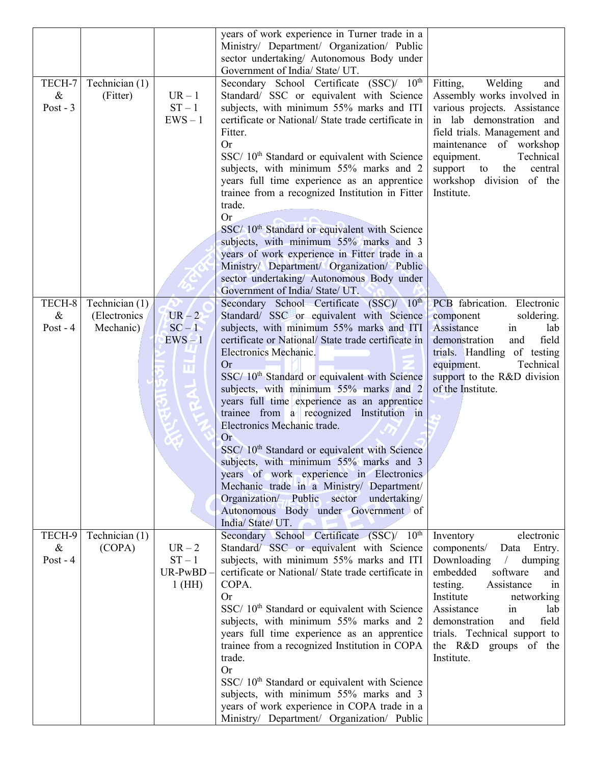|            |                |           | years of work experience in Turner trade in a                                         |                                                      |
|------------|----------------|-----------|---------------------------------------------------------------------------------------|------------------------------------------------------|
|            |                |           | Ministry/ Department/ Organization/ Public                                            |                                                      |
|            |                |           | sector undertaking/ Autonomous Body under                                             |                                                      |
|            |                |           | Government of India/ State/ UT.                                                       |                                                      |
| TECH-7     | Technician (1) |           | Secondary School Certificate (SSC)/ 10 <sup>th</sup>                                  | Welding<br>Fitting,<br>and                           |
| $\&$       | (Fitter)       | $UR - 1$  | Standard/ SSC or equivalent with Science                                              | Assembly works involved in                           |
| Post - $3$ |                | $ST-1$    | subjects, with minimum 55% marks and ITI                                              | various projects. Assistance                         |
|            |                | $EWS - 1$ | certificate or National/ State trade certificate in                                   | in lab demonstration and                             |
|            |                |           | Fitter.                                                                               |                                                      |
|            |                |           | Or                                                                                    | field trials. Management and                         |
|            |                |           |                                                                                       | maintenance of workshop                              |
|            |                |           | SSC/ 10 <sup>th</sup> Standard or equivalent with Science                             | equipment.<br>Technical                              |
|            |                |           | subjects, with minimum 55% marks and 2                                                | support<br>central<br>the<br>to                      |
|            |                |           | years full time experience as an apprentice                                           | workshop division of the                             |
|            |                |           | trainee from a recognized Institution in Fitter                                       | Institute.                                           |
|            |                |           | trade.                                                                                |                                                      |
|            |                |           | <b>Or</b>                                                                             |                                                      |
|            |                |           | SSC/ 10 <sup>th</sup> Standard or equivalent with Science                             |                                                      |
|            |                |           | subjects, with minimum 55% marks and 3                                                |                                                      |
|            |                |           | years of work experience in Fitter trade in a                                         |                                                      |
|            |                |           | Ministry/ Department/ Organization/ Public                                            |                                                      |
|            |                |           | sector undertaking/ Autonomous Body under                                             |                                                      |
|            |                |           | Government of India/ State/ UT.                                                       |                                                      |
| TECH-8     | Technician (1) |           | Secondary School Certificate (SSC)/ 10th                                              | PCB fabrication. Electronic                          |
| $\&$       | (Electronics   | $UR-2$    | Standard/ SSC or equivalent with Science                                              | soldering.<br>component                              |
| Post - $4$ | Mechanic)      | $SC-1$    | subjects, with minimum 55% marks and ITI                                              | Assistance<br>in<br>lab                              |
|            |                | $EWS-1$   | certificate or National/ State trade certificate in                                   | demonstration<br>field<br>and                        |
|            |                |           | Electronics Mechanic.                                                                 | trials. Handling of testing                          |
|            |                |           | Or                                                                                    | equipment.<br>Technical                              |
|            |                |           | SSC/ 10 <sup>th</sup> Standard or equivalent with Science                             | support to the R&D division                          |
|            |                |           | subjects, with minimum 55% marks and 2                                                | of the Institute.                                    |
|            |                |           | years full time experience as an apprentice                                           |                                                      |
|            |                |           | trainee from a recognized Institution in                                              |                                                      |
|            |                |           | Electronics Mechanic trade.                                                           |                                                      |
|            |                |           | Or                                                                                    |                                                      |
|            |                |           | SSC/ 10 <sup>th</sup> Standard or equivalent with Science                             |                                                      |
|            |                |           | subjects, with minimum 55% marks and 3                                                |                                                      |
|            |                |           | years of work experience in Electronics                                               |                                                      |
|            |                |           | Mechanic trade in a Ministry/ Department/                                             |                                                      |
|            |                |           | Organization/ Public sector undertaking/                                              |                                                      |
|            |                |           | Autonomous Body under Government of                                                   |                                                      |
|            |                |           | India/ State/ UT.                                                                     |                                                      |
| TECH-9     | Technician (1) |           | Secondary School Certificate (SSC)/ 10 <sup>th</sup>                                  | Inventory<br>electronic                              |
| $\&$       | (COPA)         | $UR-2$    | Standard/ SSC or equivalent with Science                                              | Entry.<br>components/<br>Data                        |
| Post - $4$ |                | $ST-1$    | subjects, with minimum 55% marks and ITI                                              | Downloading<br>dumping                               |
|            |                | UR-PwBD   | certificate or National/ State trade certificate in                                   | software<br>embedded<br>and                          |
|            |                | $1$ (HH)  | COPA.                                                                                 | testing.<br>Assistance<br>1n                         |
|            |                |           | <b>Or</b>                                                                             | Institute<br>networking                              |
|            |                |           | SSC/ 10 <sup>th</sup> Standard or equivalent with Science                             | Assistance<br>in<br>lab                              |
|            |                |           |                                                                                       | field                                                |
|            |                |           | subjects, with minimum 55% marks and 2<br>years full time experience as an apprentice | demonstration<br>and<br>trials. Technical support to |
|            |                |           |                                                                                       |                                                      |
|            |                |           | trainee from a recognized Institution in COPA                                         | the R&D groups of the                                |
|            |                |           | trade.                                                                                | Institute.                                           |
|            |                |           | Or                                                                                    |                                                      |
|            |                |           | SSC/ 10 <sup>th</sup> Standard or equivalent with Science                             |                                                      |
|            |                |           | subjects, with minimum 55% marks and 3                                                |                                                      |
|            |                |           | years of work experience in COPA trade in a                                           |                                                      |
|            |                |           | Ministry/ Department/ Organization/ Public                                            |                                                      |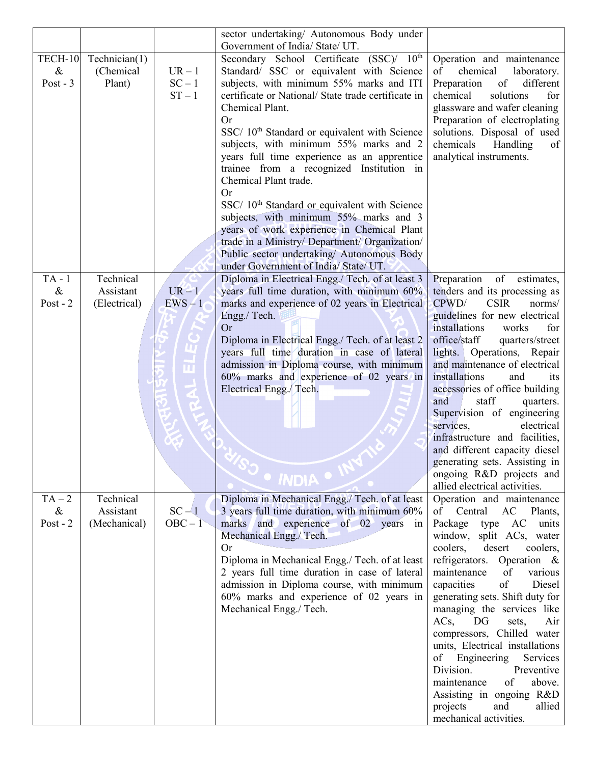|            |               |           | sector undertaking/ Autonomous Body under                                               |                                                               |
|------------|---------------|-----------|-----------------------------------------------------------------------------------------|---------------------------------------------------------------|
|            |               |           | Government of India/ State/ UT.                                                         |                                                               |
| TECH-10    | Technician(1) |           | Secondary School Certificate (SSC)/ 10th                                                | Operation and maintenance                                     |
| $\&$       | (Chemical     | $UR-1$    | Standard/ SSC or equivalent with Science                                                | chemical<br>of                                                |
| Post - $3$ | Plant)        | $SC - 1$  | subjects, with minimum 55% marks and ITI                                                | laboratory.<br>Preparation<br>different<br>of                 |
|            |               | $ST-1$    | certificate or National/ State trade certificate in                                     | chemical<br>solutions<br>for                                  |
|            |               |           | Chemical Plant.                                                                         |                                                               |
|            |               |           |                                                                                         | glassware and wafer cleaning                                  |
|            |               |           | Or                                                                                      | Preparation of electroplating                                 |
|            |               |           | SSC/ 10 <sup>th</sup> Standard or equivalent with Science                               | solutions. Disposal of used                                   |
|            |               |           | subjects, with minimum 55% marks and 2                                                  | chemicals<br>Handling<br>of                                   |
|            |               |           | years full time experience as an apprentice<br>trainee from a recognized Institution in | analytical instruments.                                       |
|            |               |           | Chemical Plant trade.                                                                   |                                                               |
|            |               |           | <b>Or</b>                                                                               |                                                               |
|            |               |           | SSC/ 10 <sup>th</sup> Standard or equivalent with Science                               |                                                               |
|            |               |           | subjects, with minimum 55% marks and 3                                                  |                                                               |
|            |               |           | years of work experience in Chemical Plant                                              |                                                               |
|            |               |           | trade in a Ministry/ Department/ Organization/                                          |                                                               |
|            |               |           | Public sector undertaking/ Autonomous Body                                              |                                                               |
|            |               |           | under Government of India/ State/ UT.                                                   |                                                               |
| $TA - 1$   | Technical     |           | Diploma in Electrical Engg./ Tech. of at least 3                                        | of estimates,<br>Preparation                                  |
| $\&$       | Assistant     | $UR - 1$  | years full time duration, with minimum 60%                                              | tenders and its processing as                                 |
| Post - $2$ | (Electrical)  | $EWS - 1$ | marks and experience of 02 years in Electrical                                          | CPWD/<br><b>CSIR</b><br>norms/                                |
|            |               |           | Engg./ Tech.                                                                            | guidelines for new electrical                                 |
|            |               |           | Or                                                                                      | installations<br>works<br>for                                 |
|            |               |           | Diploma in Electrical Engg./ Tech. of at least 2                                        | office/staff<br>quarters/street                               |
|            |               |           | years full time duration in case of lateral                                             | lights. Operations, Repair                                    |
|            |               |           | admission in Diploma course, with minimum                                               | and maintenance of electrical                                 |
|            |               |           | 60% marks and experience of 02 years in                                                 | installations<br>and<br>its                                   |
|            |               |           | Electrical Engg./Tech.                                                                  | accessories of office building                                |
|            |               |           |                                                                                         | staff<br>and<br>quarters.                                     |
|            |               |           |                                                                                         | Supervision of engineering                                    |
|            |               |           |                                                                                         | services,<br>electrical                                       |
|            |               |           |                                                                                         | infrastructure and facilities,                                |
|            |               |           |                                                                                         | and different capacity diesel                                 |
|            |               |           |                                                                                         | generating sets. Assisting in                                 |
|            |               |           | · INDIA ·                                                                               | ongoing R&D projects and                                      |
|            |               |           |                                                                                         | allied electrical activities.                                 |
| $TA-2$     | Technical     |           | Diploma in Mechanical Engg./ Tech. of at least                                          | Operation and maintenance                                     |
| $\&$       | Assistant     | $SC-1$    | 3 years full time duration, with minimum 60%                                            | of Central<br>AC<br>Plants,                                   |
| Post - $2$ | (Mechanical)  | $OBC - 1$ | marks and experience of 02 years in                                                     | Package<br>AC<br>units<br>type                                |
|            |               |           | Mechanical Engg./ Tech.                                                                 | window, split ACs, water                                      |
|            |               |           | Or                                                                                      | coolers,<br>desert<br>coolers,                                |
|            |               |           | Diploma in Mechanical Engg./ Tech. of at least                                          | refrigerators.<br>Operation &                                 |
|            |               |           | 2 years full time duration in case of lateral                                           | maintenance<br>various<br>of                                  |
|            |               |           | admission in Diploma course, with minimum                                               | capacities<br>of<br>Diesel                                    |
|            |               |           | 60% marks and experience of 02 years in                                                 | generating sets. Shift duty for                               |
|            |               |           | Mechanical Engg./ Tech.                                                                 | managing the services like                                    |
|            |               |           |                                                                                         | $ACs$ ,<br>DG<br>Air<br>sets,                                 |
|            |               |           |                                                                                         | compressors, Chilled water<br>units, Electrical installations |
|            |               |           |                                                                                         | Engineering<br>Services<br>of                                 |
|            |               |           |                                                                                         | Division.<br>Preventive                                       |
|            |               |           |                                                                                         | above.<br>maintenance<br>of                                   |
|            |               |           |                                                                                         | Assisting in ongoing R&D                                      |
|            |               |           |                                                                                         | projects<br>and<br>allied                                     |
|            |               |           |                                                                                         | mechanical activities.                                        |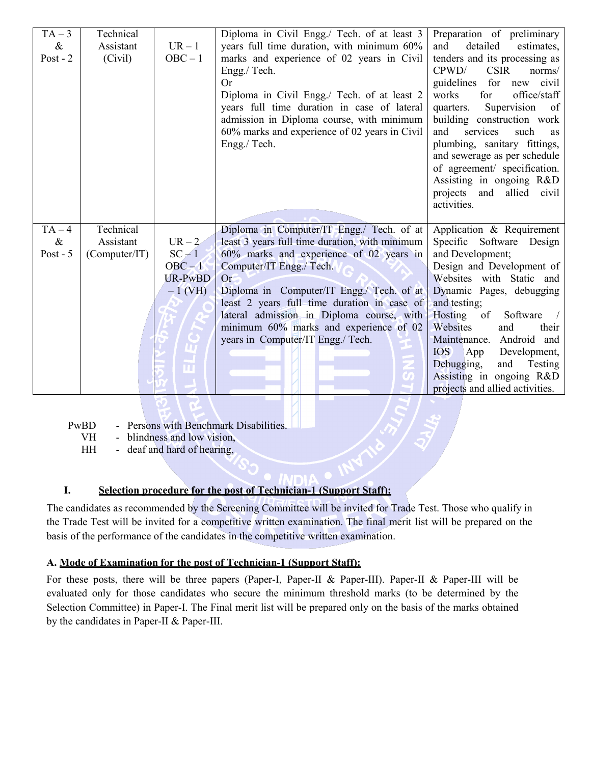| $TA-3$     | Technical     |                | Diploma in Civil Engg./ Tech. of at least 3    | Preparation of preliminary                                  |
|------------|---------------|----------------|------------------------------------------------|-------------------------------------------------------------|
| &          | Assistant     | $UR-1$         | years full time duration, with minimum 60%     | detailed<br>and<br>estimates,                               |
| Post - $2$ | (Civil)       | $OBC - 1$      | marks and experience of 02 years in Civil      | tenders and its processing as                               |
|            |               |                | Engg./ Tech.                                   | CPWD/<br><b>CSIR</b><br>norms/                              |
|            |               |                | Or                                             | guidelines<br>for<br>new civil                              |
|            |               |                | Diploma in Civil Engg./ Tech. of at least 2    | for<br>works<br>office/staff                                |
|            |               |                | years full time duration in case of lateral    | Supervision<br>quarters.<br>of                              |
|            |               |                | admission in Diploma course, with minimum      | building construction work                                  |
|            |               |                | 60% marks and experience of 02 years in Civil  | and<br>services<br>such<br><b>as</b>                        |
|            |               |                | Engg./ Tech.                                   | plumbing, sanitary fittings,                                |
|            |               |                |                                                | and sewerage as per schedule                                |
|            |               |                |                                                | of agreement/ specification.                                |
|            |               |                |                                                | Assisting in ongoing R&D                                    |
|            |               |                |                                                | projects and<br>allied civil                                |
|            |               |                |                                                | activities.                                                 |
|            |               |                |                                                |                                                             |
|            |               |                |                                                |                                                             |
| $TA-4$     | Technical     |                | Diploma in Computer/IT Engg./ Tech. of at      | Application & Requirement                                   |
| $\&$       | Assistant     | $UR-2$         | least 3 years full time duration, with minimum | Specific Software Design                                    |
| Post - $5$ | (Computer/IT) | $SC - 1$       | 60% marks and experience of 02 years in        | and Development;                                            |
|            |               | $OBC - 1$      | Computer/IT Engg./ Tech.                       | Design and Development of                                   |
|            |               | <b>UR-PwBD</b> | Or <sup>-</sup>                                | Websites with Static and                                    |
|            |               | $-1$ (VH)      | Diploma in Computer/IT Engg./ Tech. of at      | Dynamic Pages, debugging                                    |
|            |               |                | least 2 years full time duration in case of    | and testing;                                                |
|            |               |                | lateral admission in Diploma course, with      | Hosting of<br>Software                                      |
|            |               |                | minimum 60% marks and experience of 02         | Websites<br>and<br>their                                    |
|            |               |                | years in Computer/IT Engg./ Tech.              | Android and<br>Maintenance.                                 |
|            |               |                |                                                | <b>IOS</b><br>App<br>Development,                           |
|            |               |                |                                                | Debugging,<br>and<br>Testing                                |
|            |               |                |                                                | Assisting in ongoing R&D<br>projects and allied activities. |

PwBD - Persons with Benchmark Disabilities.

VH - blindness and low vision,

HH - deaf and hard of hearing,

## **I. Selection procedure for the post of Technician-1 (Support Staff):**

The candidates as recommended by the Screening Committee will be invited for Trade Test. Those who qualify in the Trade Test will be invited for a competitive written examination. The final merit list will be prepared on the basis of the performance of the candidates in the competitive written examination.

## **A. Mode of Examination for the post of Technician-1 (Support Staff):**

For these posts, there will be three papers (Paper-I, Paper-II & Paper-III). Paper-II & Paper-III will be evaluated only for those candidates who secure the minimum threshold marks (to be determined by the Selection Committee) in Paper-I. The Final merit list will be prepared only on the basis of the marks obtained by the candidates in Paper-II & Paper-III.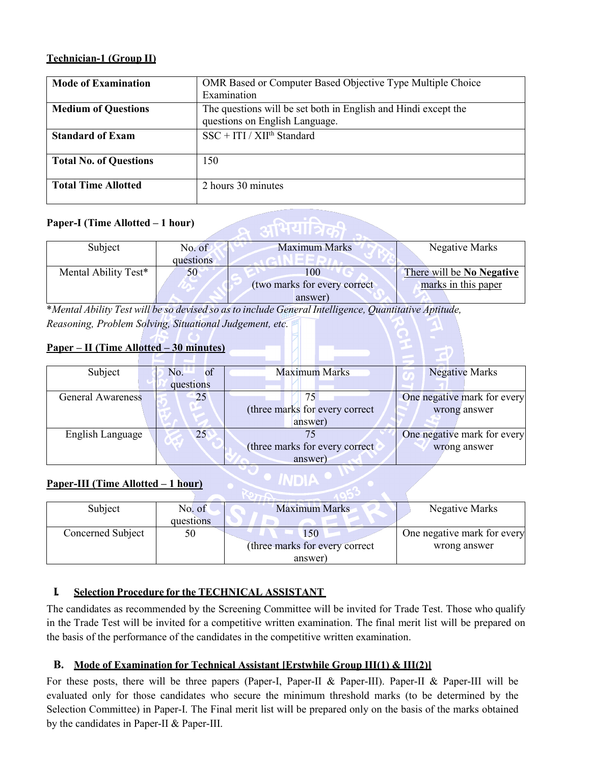## **Technician-1 (Group II)**

| <b>Mode of Examination</b>    | OMR Based or Computer Based Objective Type Multiple Choice                                       |
|-------------------------------|--------------------------------------------------------------------------------------------------|
|                               | Examination                                                                                      |
| <b>Medium of Questions</b>    | The questions will be set both in English and Hindi except the<br>questions on English Language. |
| <b>Standard of Exam</b>       | $SSC + ITI / XIIth Standard$                                                                     |
| <b>Total No. of Questions</b> | 150                                                                                              |
| <b>Total Time Allotted</b>    | 2 hours 30 minutes                                                                               |

## **Paper-I (Time Allotted – 1 hour)**

| No. of    | <b>Maximum Marks</b>         | Negative Marks            |
|-----------|------------------------------|---------------------------|
| questions |                              |                           |
| 50        | 00                           | There will be No Negative |
|           | (two marks for every correct | marks in this paper       |
|           | answer)                      |                           |
| ----      |                              | $-$                       |

ू अभियात्रिक

\**Mental Ability Test will be so devised so asto include General Intelligence, Quantitative Aptitude, Reasoning, Problem Solving, Situational Judgement, etc.*

## **Paper – II (Time Allotted – 30 minutes)**

| Subject                  | <b>of</b><br>No. | <b>Maximum Marks</b>           | <b>Negative Marks</b>       |
|--------------------------|------------------|--------------------------------|-----------------------------|
|                          | questions        |                                |                             |
| <b>General Awareness</b> | 25               |                                | One negative mark for every |
|                          |                  | (three marks for every correct | wrong answer                |
|                          |                  | answer)                        |                             |
| English Language         | 25               |                                | One negative mark for every |
|                          |                  | (three marks for every correct | wrong answer                |
|                          |                  | answer)                        |                             |

## **Paper-III (Time Allotted – 1 hour)**

| Subject           | No. of    | <b>Maximum Marks</b>           | Negative Marks              |
|-------------------|-----------|--------------------------------|-----------------------------|
|                   | questions |                                |                             |
| Concerned Subject | 50        | .50                            | One negative mark for every |
|                   |           | (three marks for every correct | wrong answer                |
|                   |           | answer                         |                             |

**INDIA** 

## **I. Selection Procedure for the TECHNICAL ASSISTANT**

The candidates as recommended by the Screening Committee will be invited for Trade Test. Those who qualify in the Trade Test will be invited for a competitive written examination. The final merit list will be prepared on the basis of the performance of the candidates in the competitive written examination.

## **B. Mode of Examination for Technical Assistant [Erstwhile Group III(1) & III(2)]**

For these posts, there will be three papers (Paper-I, Paper-II & Paper-III). Paper-II & Paper-III will be evaluated only for those candidates who secure the minimum threshold marks (to be determined by the Selection Committee) in Paper-I. The Final merit list will be prepared only on the basis of the marks obtained by the candidates in Paper-II & Paper-III.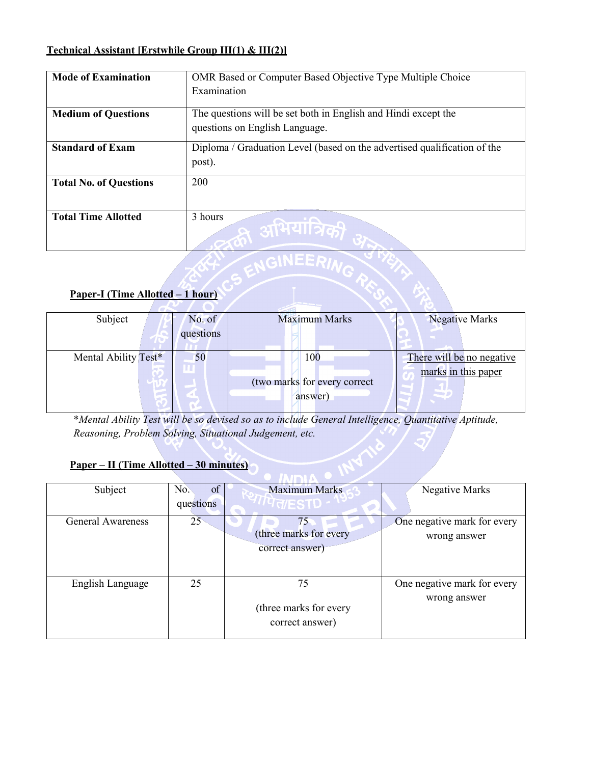## **Technical Assistant [Erstwhile Group III(1) & III(2)]**

| <b>Mode of Examination</b>    | <b>OMR</b> Based or Computer Based Objective Type Multiple Choice                  |
|-------------------------------|------------------------------------------------------------------------------------|
|                               | Examination                                                                        |
| <b>Medium of Questions</b>    | The questions will be set both in English and Hindi except the                     |
|                               | questions on English Language.                                                     |
| <b>Standard of Exam</b>       | Diploma / Graduation Level (based on the advertised qualification of the<br>post). |
| <b>Total No. of Questions</b> | 200                                                                                |
| <b>Total Time Allotted</b>    | 3 hours                                                                            |

# **Paper-I (Time Allotted – 1 hour)**

| Subject              | No. of    | <b>Maximum Marks</b>         | <b>Negative Marks</b>     |
|----------------------|-----------|------------------------------|---------------------------|
|                      |           |                              |                           |
|                      | questions |                              |                           |
|                      |           |                              |                           |
|                      |           |                              |                           |
| Mental Ability Test* | 50        | 100                          | There will be no negative |
|                      |           |                              |                           |
|                      |           |                              | marks in this paper       |
|                      |           |                              |                           |
|                      |           | (two marks for every correct |                           |
|                      |           |                              |                           |
|                      |           | answer)                      |                           |
|                      |           |                              |                           |

\**Mental Ability Test will be so devised so as to include General Intelligence, Quantitative Aptitude, Reasoning, Problem Solving, Situational Judgement, etc.*

# **Paper – II (Time Allotted – 30 minutes)**

| Subject           | No.<br>of    | <b>Maximum Marks</b>   | Negative Marks              |  |  |  |
|-------------------|--------------|------------------------|-----------------------------|--|--|--|
|                   | questions    | <i>''पता</i> ESTD      |                             |  |  |  |
| General Awareness | $25^{\circ}$ | 75                     | One negative mark for every |  |  |  |
|                   |              | (three marks for every | wrong answer                |  |  |  |
|                   |              | correct answer)        |                             |  |  |  |
|                   |              |                        |                             |  |  |  |
|                   |              |                        |                             |  |  |  |
| English Language  | 25           | 75                     | One negative mark for every |  |  |  |
|                   |              |                        | wrong answer                |  |  |  |
|                   |              | (three marks for every |                             |  |  |  |
|                   |              | correct answer)        |                             |  |  |  |
|                   |              |                        |                             |  |  |  |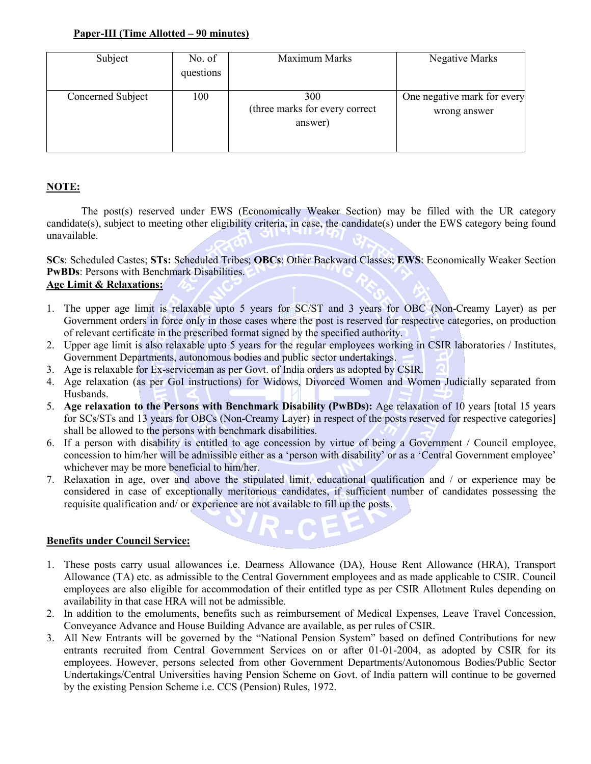### **Paper-III (Time Allotted – 90 minutes)**

| Subject           | No. of<br>questions | Maximum Marks                                    | Negative Marks                              |
|-------------------|---------------------|--------------------------------------------------|---------------------------------------------|
| Concerned Subject | 100                 | 300<br>(three marks for every correct<br>answer) | One negative mark for every<br>wrong answer |

## **NOTE:**

The post(s) reserved under EWS (Economically Weaker Section) may be filled with the UR category candidate(s), subject to meeting other eligibility criteria, in case, the candidate(s) under the EWS category being found unavailable.

**SCs**: Scheduled Castes; **STs:** Scheduled Tribes; **OBCs**: Other Backward Classes; **EWS**: Economically Weaker Section **PwBDs**: Persons with Benchmark Disabilities. **Age Limit & Relaxations:**

- 1. The upper age limit is relaxable upto 5 years for SC/ST and 3 years for OBC (Non-Creamy Layer) as per Government orders in force only in those cases where the post is reserved for respective categories, on production of relevant certificate in the prescribed format signed by the specified authority.
- 2. Upper age limit is also relaxable upto 5 years for the regular employees working in CSIR laboratories / Institutes, Government Departments, autonomous bodies and public sector undertakings.
- 3. Age is relaxable for Ex-serviceman as per Govt. of India orders as adopted by CSIR.
- 4. Age relaxation (as per GoI instructions) for Widows, Divorced Women and Women Judicially separated from Husbands.
- 5. **Age relaxation to the Persons with Benchmark Disability (PwBDs):** Age relaxation of 10 years [total 15 years for SCs/STs and 13 years for OBCs (Non-Creamy Layer) in respect of the posts reserved for respective categories] shall be allowed to the persons with benchmark disabilities.
- 6. If a person with disability is entitled to age concession by virtue of being a Government / Council employee, concession to him/her will be admissible either as a 'person with disability' or as a 'Central Government employee' whichever may be more beneficial to him/her.
- 7. Relaxation in age, over and above the stipulated limit, educational qualification and / or experience may be considered in case of exceptionally meritorious candidates, if sufficient number of candidates possessing the requisite qualification and/ or experience are not available to fill up the posts.

### **Benefits under Council Service:**

- 1. These posts carry usual allowances i.e. Dearness Allowance (DA), House Rent Allowance (HRA), Transport Allowance (TA) etc. as admissible to the Central Government employees and as made applicable to CSIR. Council employees are also eligible for accommodation of their entitled type as per CSIR Allotment Rules depending on availability in that case HRA will not be admissible.
- 2. In addition to the emoluments, benefits such as reimbursement of Medical Expenses, Leave Travel Concession, Conveyance Advance and House Building Advance are available, as per rules of CSIR.
- 3. All New Entrants will be governed by the "National Pension System" based on defined Contributions for new entrants recruited from Central Government Services on or after 01-01-2004, as adopted by CSIR for its employees. However, persons selected from other Government Departments/Autonomous Bodies/Public Sector Undertakings/Central Universities having Pension Scheme on Govt. of India pattern will continue to be governed by the existing Pension Scheme i.e. CCS (Pension) Rules, 1972.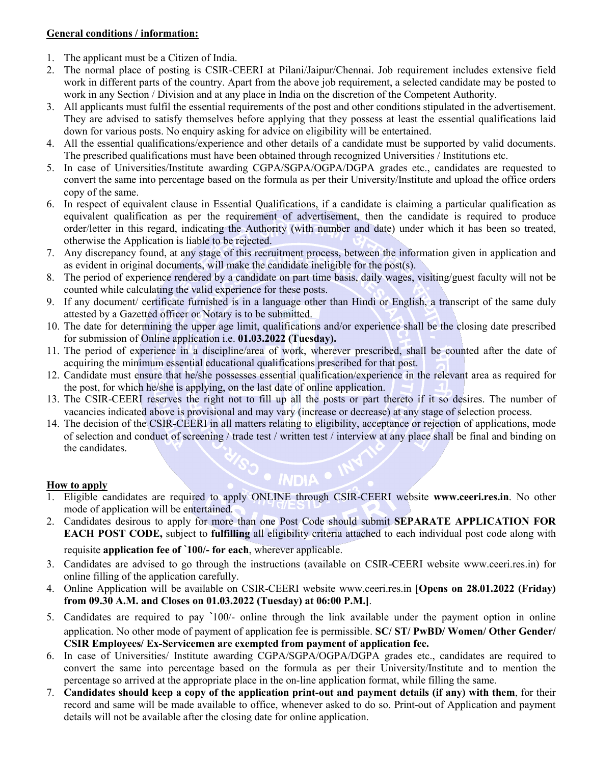### **General conditions / information:**

- 1. The applicant must be a Citizen of India.
- 2. The normal place of posting is CSIR-CEERI at Pilani/Jaipur/Chennai. Job requirement includes extensive field work in different parts of the country. Apart from the above job requirement, a selected candidate may be posted to work in any Section / Division and at any place in India on the discretion of the Competent Authority.
- 3. All applicants must fulfil the essential requirements of the post and other conditions stipulated in the advertisement. They are advised to satisfy themselves before applying that they possess at least the essential qualifications laid down for various posts. No enquiry asking for advice on eligibility will be entertained.
- 4. All the essential qualifications/experience and other details of a candidate must be supported by valid documents. The prescribed qualifications must have been obtained through recognized Universities / Institutions etc.
- 5. In case of Universities/Institute awarding CGPA/SGPA/OGPA/DGPA grades etc., candidates are requested to convert the same into percentage based on the formula as per their University/Institute and upload the office orders copy of the same.
- 6. In respect of equivalent clause in Essential Qualifications, if a candidate is claiming a particular qualification as equivalent qualification as per the requirement of advertisement, then the candidate is required to produce order/letter in this regard, indicating the Authority (with number and date) under which it has been so treated, otherwise the Application is liable to be rejected.
- 7. Any discrepancy found, at any stage of this recruitment process, between the information given in application and as evident in original documents, will make the candidate ineligible for the post(s).
- 8. The period of experience rendered by a candidate on part time basis, daily wages, visiting/guest faculty will not be counted while calculating the valid experience for these posts.
- 9. If any document/ certificate furnished is in a language other than Hindi or English, a transcript of the same duly attested by a Gazetted officer or Notary is to be submitted.
- 10. The date for determining the upper age limit, qualifications and/or experience shall be the closing date prescribed for submission of Online application i.e. **01.03.2022 (Tuesday).**
- 11. The period of experience in a discipline/area of work, wherever prescribed, shall be counted after the date of acquiring the minimum essential educational qualifications prescribed for that post.
- 12. Candidate must ensure that he/she possesses essential qualification/experience in the relevant area as required for the post, for which he/she is applying, on the last date of online application.
- 13. The CSIR-CEERI reserves the right not to fill up all the posts or part thereto if it so desires. The number of vacancies indicated above is provisional and may vary (increase or decrease) at any stage of selection process.
- 14. The decision of the CSIR-CEERI in all matters relating to eligibility, acceptance or rejection of applications, mode of selection and conduct of screening / trade test / written test / interview at any place shall be final and binding on the candidates.

### **How to apply**

1. Eligible candidates are required to apply ONLINE through CSIR-CEERI website **www.ceeri.res.in**. No other mode of application will be entertained.

**INDIA** •

- 2. Candidates desirous to apply for more than one Post Code should submit **SEPARATE APPLICATION FOR EACH POST CODE,** subject to **fulfilling** all eligibility criteria attached to each individual post code along with requisite **application fee of `100/- for each**, wherever applicable.
- 3. Candidates are advised to go through the instructions (available on CSIR-CEERI website www.ceeri.res.in) for online filling of the application carefully.
- 4. Online Application will be available on CSIR-CEERI website www.ceeri.res.in [**Opens on 28.01.2022 (Friday) from 09.30 A.M. and Closes on 01.03.2022 (Tuesday) at 06:00 P.M.]**.
- 5. Candidates are required to pay **`**100/- online through the link available under the payment option in online application. No other mode of payment of application fee is permissible. **SC/ ST/ PwBD/ Women/ Other Gender/ CSIR Employees/ Ex-Servicemen are exempted from payment of application fee.**
- 6. In case of Universities/ Institute awarding CGPA/SGPA/OGPA/DGPA grades etc., candidates are required to convert the same into percentage based on the formula as per their University/Institute and to mention the percentage so arrived at the appropriate place in the on-line application format, while filling the same.
- 7. **Candidates should keep a copy of the application print-out and payment details (if any) with them**, for their record and same will be made available to office, whenever asked to do so. Print-out of Application and payment details will not be available after the closing date for online application.